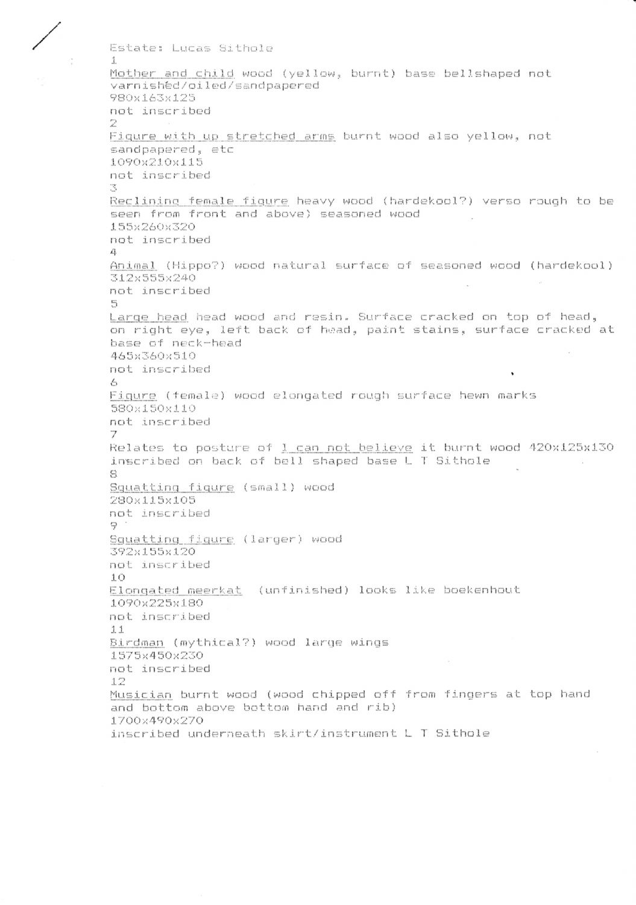Estate: Lucas Sithole Mother and child wood (yellow, burnt) base bellshaped not varnished/oiled/sandpapered 980x163x125 not inscribed 2 Figure with up stretched arms burnt wood also yellow, not sandpapered, etc 1090x210x115 not inscribed π, Reclining female figure heavy wood (hardekool?) verso rough to be seen from front and above) seasoned wood 155x260x320 not inscribed  $\mathcal{L}_{\mathbf{L}}$ Animal (Hippo?) wood natural surface of seasoned wood (hardekool) 312x555x240 not inscribed  $\mathbb{H}^*_{\mathbb{Q}}$ Large head head wood and resin. Surface cracked on top of head. on right eye, left back of head, paint stains, surface cracked at base of neck-head 465x360x510 not inscribed  $\mathcal{L}_{\alpha}$ Figure (female) wood elongated rough surface hewn marks 580x150x110 not inscribed 7 Relates to posture of I can not believe it burnt wood 420x125x130 inscribed on back of bell shaped base L T Sithole  $\mathcal{L}_{\mathcal{A}}$  $\mathbb{R}$ Squatting figure (small) wood 280x115x105 not inscribed  $\oplus$ Squatting figure (larger) wood 392x155x120 not inscribed  $1<sub>O</sub>$ Elongated meerkat (unfinished) looks like boekenhout 1090x225x180 not inscribed  $11$ Birdman (mythical?) wood large wings 1575x450x230 not inscribed  $12$ Musician burnt wood (wood chipped off from fingers at top hand and bottom above bottom hand and rib) 1700x490x270 inscribed underneath skirt/instrument L T Sithole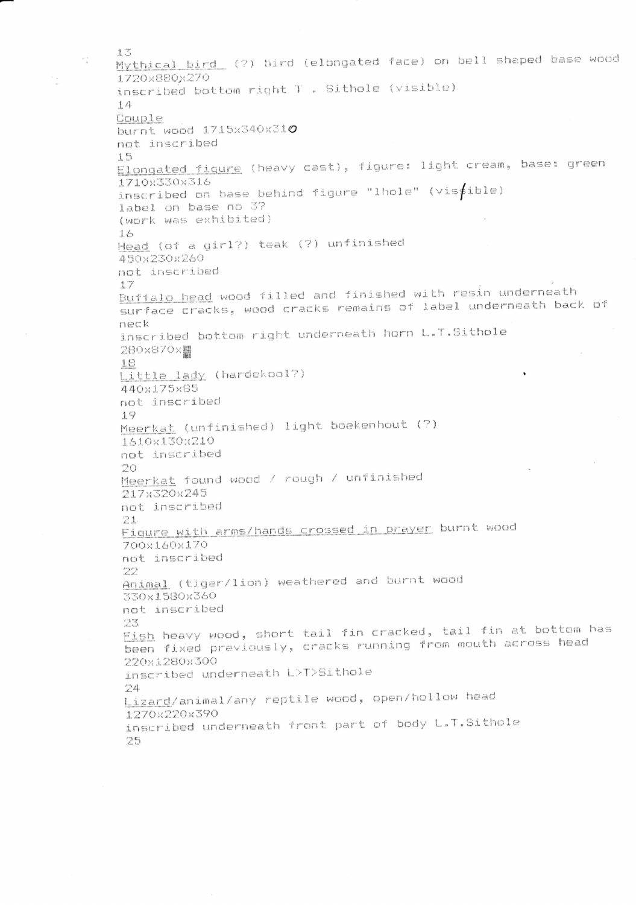$1.3$ Mythical bird (?) bird (elongated face) on bell shaped base wood 1720x880x270 inscribed bottom right T . Sithole (visible)  $1.4$ Couple burnt wood 1715x340x310 not inscribed  $15 -$ Elongated figure (heavy cast), figure: light cream, base: green 1710x330x316 inscribed on base behind figure "lhole" (visible) label on base no 3? (work was exhibited)  $1.4$ Head (of a girl?) teak (?) unfinished 450x230x260 not inscribed  $17$ Buffalo head wood filled and finished with resin underneath surface cracks, wood cracks remains of label underneath back of  $n$  $\in$  $k$ inscribed bottom right underneath horn L.T.Sithole 280x870x 18 Little lady (hardekool?) 440x175x85 not inscribed 19 Meerkat (unfinished) light boekenhout (?) 1610x130x210 not inscribed  $20$ Meerkat found wood / rough / unfinished 217x320x245 not inscribed  $21.$ Figure with arms/hands crossed in prayer burnt wood 700x160x170 not inscribed 22 Animal (tiger/lion) weathered and burnt wood 330x1580x360 not inscribed 23 Fish heavy wood, short tail fin cracked, tail fin at bottom has been fixed previously, cracks running from mouth across head 220x1280x300 inscribed underneath L>T>Sithole 24 Lizard/animal/any reptile wood, open/hollow head 1270x220x390 inscribed underneath front part of body L.T.Sithole 25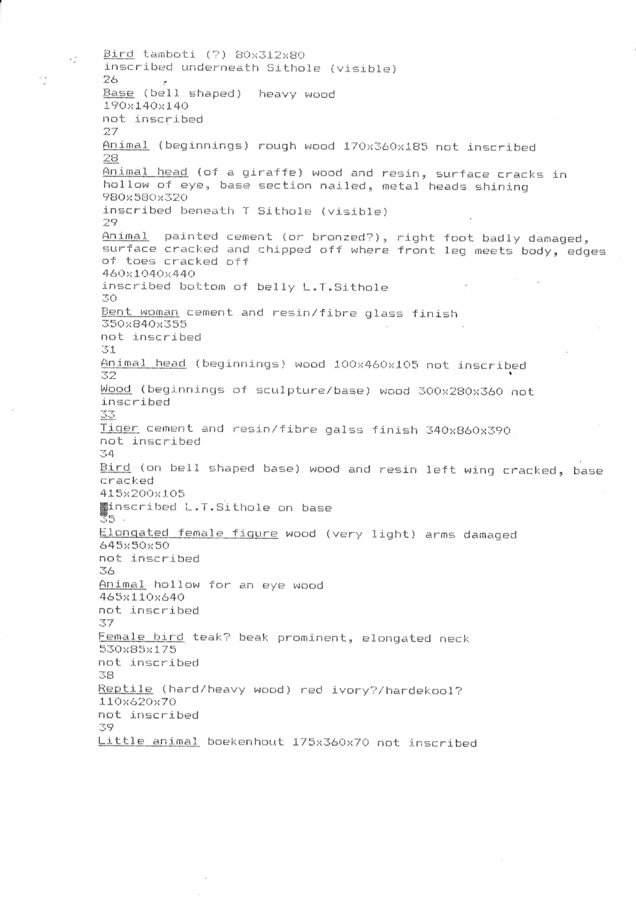Bird tamboti (?) 80x312x80 inscribed underneath Sithole (visible) 26. Base (bell shaped) heavy wood 190x140x140 not inscribed 27 Animal (beginnings) rough wood 170x360x185 not inscribed 28 Animal head (of a giraffe) wood and resin, surface cracks in hollow of eye, base section nailed, metal heads shining 980x580x320 inscribed beneath T Sithole (visible)  $\mathcal{D}$ Animal painted cement (or bronzed?), right foot badly damaged, surface cracked and chipped off where front leg meets body, edges of toes cracked off 460x1040x440 inscribed bottom of belly L.T.Sithole 30 Bent woman cement and resin/fibre glass finish 350×840×355 not inscribed 78.4 Animal head (beginnings) wood 100x460x105 not inscribed 32 Wood (beginnings of sculpture/base) wood 300x280x360 not inscribed 33 Tiger cement and resin/fibre galss finish 340x860x390 not inscribed 34 Bird (on bell shaped base) wood and resin left wing cracked, base cracked 415x200x105 winscribed L.T.Sithole on base 35 . Elongated female figure wood (very light) arms damaged 645×50×50 not inscribed 3A Animal hollow for an eye wood 465x110x640 not inscribed 37 Female bird teak? beak prominent, elongated neck 530×85×175 not inscribed 38 Reptile (hard/heavy wood) red ivory?/hardekool? 110x620x70 not inscribed 39 Little animal boekenhout 175x360x70 not inscribed

 $\epsilon$  .

13